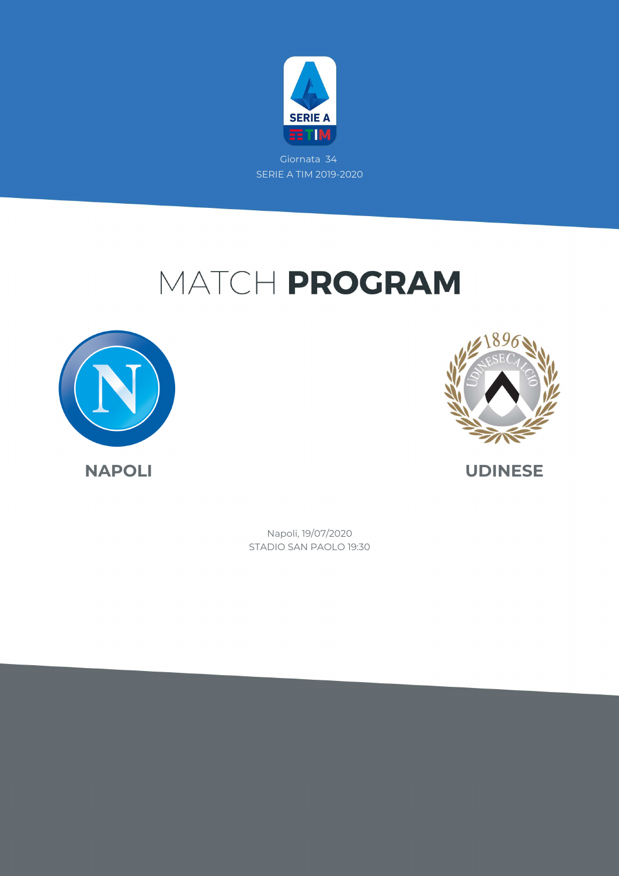

# MATCH PROGRAM





STADIO SAN PAOLO 19:30 Napoli, 19/07/2020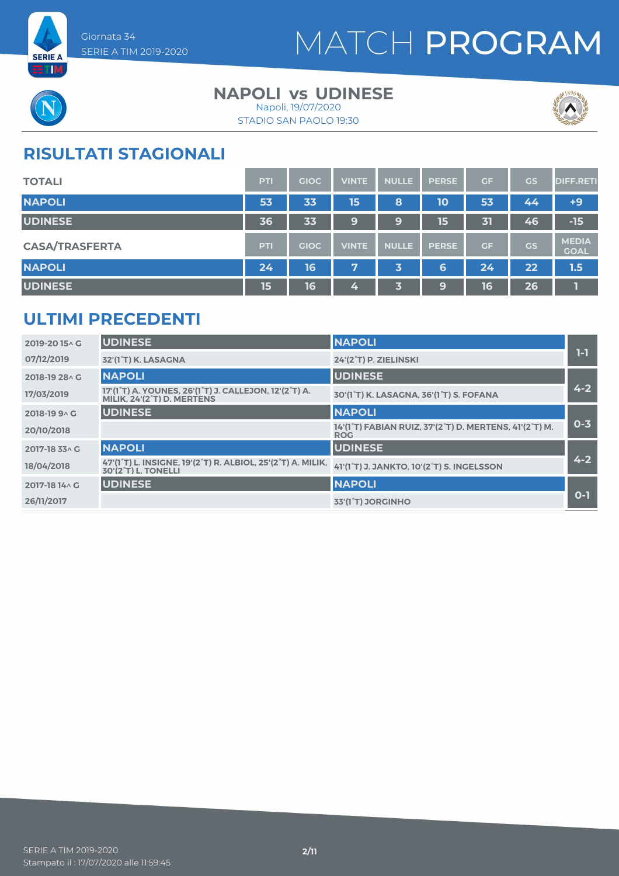

# MATCH PROGRAM



### **NAPOLI vs UDINESE**

STADIO SAN PAOLO 19:30 Napoli, 19/07/2020



## **RISULTATI STAGIONALI**

| <b>TOTALI</b>         | PTI | <b>GIOC</b> | <b>VINTE</b> | <b>NULLE</b> | <b>PERSE</b> | <b>GF</b> | <b>GS</b> | <b>DIFF.RETI</b>            |
|-----------------------|-----|-------------|--------------|--------------|--------------|-----------|-----------|-----------------------------|
| <b>NAPOLI</b>         | 53  | 33          | 15           | 8            | 10           | 53        | 44        | $+9$                        |
| <b>UDINESE</b>        | 36  | 33          | 9            | 9            | 15           | 31        | 46        | $-15$                       |
| <b>CASA/TRASFERTA</b> | PTI | <b>GIOC</b> | <b>VINTE</b> | <b>NULLE</b> | <b>PERSE</b> | <b>GF</b> | GS        | <b>MEDIA</b><br><b>GOAL</b> |
| <b>NAPOLI</b>         | 24  | 16          | 7            | 3            | 6            | 24        | 22        | 1.5                         |
| <b>UDINESE</b>        | 15  | 16          | 4            | 3            | 9            | 16        | 26        |                             |

## **ULTIMI PRECEDENTI**

| 2019-2015 AG    | <b>UDINESE</b>                                                                                                            | <b>NAPOLI</b>                                                        |         |
|-----------------|---------------------------------------------------------------------------------------------------------------------------|----------------------------------------------------------------------|---------|
| 07/12/2019      | 32'(1°T) K. LASAGNA                                                                                                       | 24'(2°T) P. ZIELINSKI                                                | $1-1$   |
| 2018-19 28 A G  | <b>NAPOLI</b>                                                                                                             | <b>UDINESE</b>                                                       |         |
| 17/03/2019      | 17'(1°T) A. YOUNES, 26'(1°T) J. CALLEJON, 12'(2°T) A.<br>MILIK. 24'(2°T) D. MERTENS                                       | 30'(1°T) K. LASAGNA, 36'(1°T) S. FOFANA                              | $4 - 2$ |
| $2018 - 1990$ G | <b>UDINESE</b>                                                                                                            | <b>NAPOLI</b>                                                        |         |
| 20/10/2018      |                                                                                                                           | 14'(1°T) FABIAN RUIZ, 37'(2°T) D. MERTENS, 41'(2°T) M.<br><b>ROG</b> | $0 - 3$ |
| 2017-18 33^ G   | <b>NAPOLI</b>                                                                                                             | <b>UDINESE</b>                                                       |         |
| 18/04/2018      | 47'(1 <sup>°</sup> T) L. INSIGNE, 19'(2 <sup>°</sup> T) R. ALBIOL, 25'(2 <sup>°</sup> T) A. MILIK,<br>30'(2°T) L. TONELLI | 41'(1°T) J. JANKTO, 10'(2°T) S. INGELSSON                            | $4 - 2$ |
| 2017-18 14 \ G  | <b>UDINESE</b>                                                                                                            | <b>NAPOLI</b>                                                        |         |
| 26/11/2017      |                                                                                                                           | 33'(1 <sup>°</sup> T) JORGINHO                                       | $O-1$   |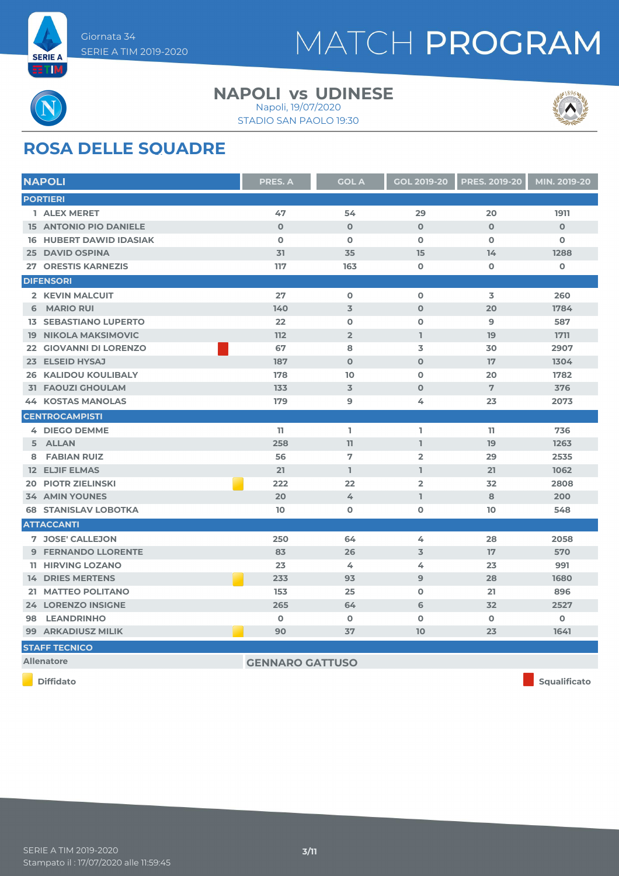

# MATCH PROGRAM



# **ROSA DELLE SQUADRE**

| <b>NAPOLI</b>                  | <b>PRES. A</b>         | <b>GOL A</b>   | <b>GOL 2019-20</b> | <b>PRES. 2019-20</b> | MIN. 2019-20 |  |
|--------------------------------|------------------------|----------------|--------------------|----------------------|--------------|--|
| <b>PORTIERI</b>                |                        |                |                    |                      |              |  |
| 1 ALEX MERET                   | 47                     | 54             | 29                 | 20                   | 1911         |  |
| <b>15 ANTONIO PIO DANIELE</b>  | $\mathbf 0$            | $\mathbf 0$    | $\mathbf{O}$       | $\mathbf{O}$         | $\mathbf 0$  |  |
| <b>16 HUBERT DAWID IDASIAK</b> | $\mathbf 0$            | $\mathbf 0$    | $\mathbf{O}$       | $\mathbf{O}$         | 0            |  |
| <b>25 DAVID OSPINA</b>         | 31                     | 35             | 15                 | 14                   | 1288         |  |
| <b>27 ORESTIS KARNEZIS</b>     | 117                    | 163            | $\mathbf 0$        | $\mathbf 0$          | $\mathbf 0$  |  |
| <b>DIFENSORI</b>               |                        |                |                    |                      |              |  |
| 2 KEVIN MALCUIT                | 27                     | $\mathbf 0$    | $\Omega$           | 3                    | 260          |  |
| <b>MARIO RUI</b><br>6          | 140                    | $\overline{3}$ | $\mathbf 0$        | 20                   | 1784         |  |
| <b>13 SEBASTIANO LUPERTO</b>   | 22                     | $\mathbf 0$    | $\mathbf 0$        | 9                    | 587          |  |
| <b>19 NIKOLA MAKSIMOVIC</b>    | 112                    | $\overline{2}$ | I.                 | 19                   | 1711         |  |
| 22 GIOVANNI DI LORENZO         | 67                     | 8              | 3                  | 30                   | 2907         |  |
| 23 ELSEID HYSAJ                | 187                    | $\mathbf 0$    | $\mathbf 0$        | 17                   | 1304         |  |
| <b>26 KALIDOU KOULIBALY</b>    | 178                    | 10             | $\mathbf 0$        | 20                   | 1782         |  |
| <b>31 FAOUZI GHOULAM</b>       | 133                    | $\overline{3}$ | $\Omega$           | $\overline{7}$       | 376          |  |
| <b>44 KOSTAS MANOLAS</b>       | 179                    | 9              | 4                  | 23                   | 2073         |  |
| <b>CENTROCAMPISTI</b>          |                        |                |                    |                      |              |  |
| <b>4 DIEGO DEMME</b>           | 11                     | J.             | I.                 | 11                   | 736          |  |
| 5 ALLAN                        | 258                    | 11             | $\mathbf{1}$       | 19                   | 1263         |  |
| <b>FABIAN RUIZ</b><br>8        | 56                     | $\overline{7}$ | $\overline{2}$     | 29                   | 2535         |  |
| <b>12 ELJIF ELMAS</b>          | 21                     | L.             | L.                 | 21                   | 1062         |  |
| <b>PIOTR ZIELINSKI</b><br>20   | 222                    | 22             | $\overline{2}$     | 32                   | 2808         |  |
| <b>34 AMIN YOUNES</b>          | 20                     | 4              | $\mathbb{I}$       | 8                    | 200          |  |
| <b>68 STANISLAV LOBOTKA</b>    | 10 <sup>°</sup>        | $\mathbf 0$    | $\mathbf 0$        | 10                   | 548          |  |
| <b>ATTACCANTI</b>              |                        |                |                    |                      |              |  |
| 7 JOSE' CALLEJON               | 250                    | 64             | 4                  | 28                   | 2058         |  |
| <b>9 FERNANDO LLORENTE</b>     | 83                     | 26             | 3                  | 17                   | 570          |  |
| <b>11 HIRVING LOZANO</b>       | 23                     | 4              | 4                  | 23                   | 991          |  |
| <b>14 DRIES MERTENS</b>        | 233                    | 93             | 9                  | 28                   | 1680         |  |
| 21 MATTEO POLITANO             | 153                    | 25             | $\mathbf 0$        | 21                   | 896          |  |
| <b>24 LORENZO INSIGNE</b>      | 265                    | 64             | 6                  | 32                   | 2527         |  |
| <b>LEANDRINHO</b><br>98        | $\mathbf 0$            | $\mathbf 0$    | $\mathbf 0$        | $\mathbf 0$          | 0            |  |
| 99 ARKADIUSZ MILIK             | 90                     | 37             | 10                 | 23                   | 1641         |  |
| <b>STAFF TECNICO</b>           |                        |                |                    |                      |              |  |
| <b>Allenatore</b>              | <b>GENNARO GATTUSO</b> |                |                    |                      |              |  |

**NAPOLI vs UDINESE** 

STADIO SAN PAOLO 19:30 Napoli, 19/07/2020

**Diffidato Squalificato**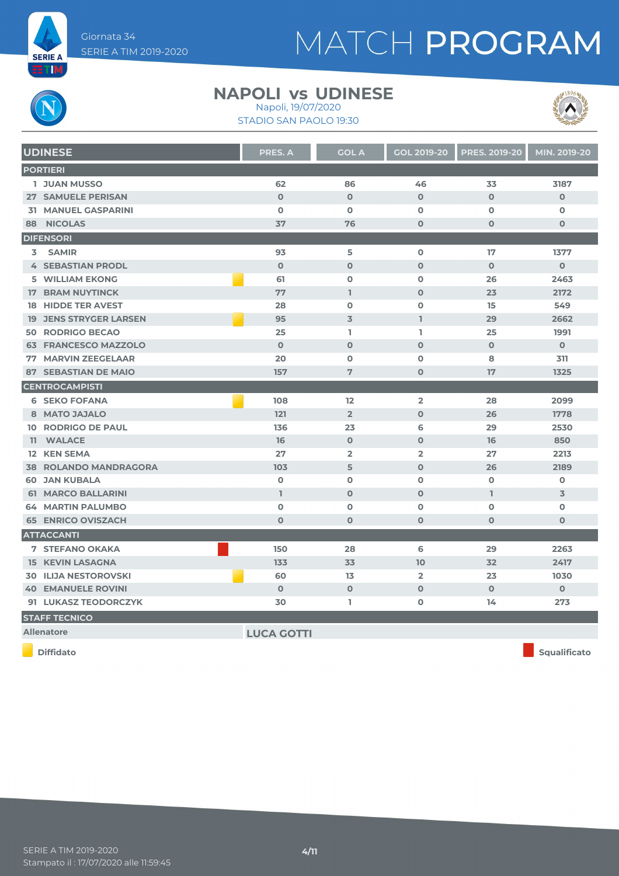

# MATCH PROGRAM

#### **NAPOLI vs UDINESE** Napoli, 19/07/2020

STADIO SAN PAOLO 19:30



| <b>UDINESE</b>                | <b>PRES. A</b>    | <b>GOL A</b>   | <b>GOL 2019-20</b> | <b>PRES. 2019-20</b> | MIN. 2019-20        |
|-------------------------------|-------------------|----------------|--------------------|----------------------|---------------------|
| <b>PORTIERI</b>               |                   |                |                    |                      |                     |
| <b>1 JUAN MUSSO</b>           | 62                | 86             | 46                 | 33                   | 3187                |
| 27 SAMUELE PERISAN            | $\mathbf{O}$      | $\mathbf 0$    | $\mathbf 0$        | $\mathbf{O}$         | $\mathbf{O}$        |
| <b>31 MANUEL GASPARINI</b>    | $\mathbf 0$       | $\mathbf 0$    | $\mathbf 0$        | $\mathbf 0$          | $\mathbf o$         |
| 88 NICOLAS                    | 37                | 76             | $\mathbf 0$        | $\mathbf{O}$         | $\mathbf 0$         |
| <b>DIFENSORI</b>              |                   |                |                    |                      |                     |
| 3 SAMIR                       | 93                | 5              | $\mathbf 0$        | 17                   | 1377                |
| <b>4 SEBASTIAN PRODL</b>      | $\Omega$          | $\Omega$       | $\Omega$           | $\Omega$             | $\Omega$            |
| <b>5 WILLIAM EKONG</b>        | 61                | $\mathbf 0$    | $\mathbf 0$        | 26                   | 2463                |
| <b>17 BRAM NUYTINCK</b>       | 77                | $\mathbb{I}$   | $\mathbf 0$        | 23                   | 2172                |
| <b>18 HIDDE TER AVEST</b>     | 28                | $\mathbf 0$    | $\mathbf 0$        | 15                   | 549                 |
| <b>19 JENS STRYGER LARSEN</b> | 95                | $\overline{3}$ | $\mathbf{I}$       | 29                   | 2662                |
| <b>50 RODRIGO BECAO</b>       | 25                | L.             | I.                 | 25                   | 1991                |
| <b>63 FRANCESCO MAZZOLO</b>   | $\mathbf{O}$      | $\mathbf 0$    | $\mathbf 0$        | $\mathbf{O}$         | $\mathbf 0$         |
| 77 MARVIN ZEEGELAAR           | 20                | $\mathbf 0$    | $\mathbf 0$        | 8                    | 311                 |
| <b>87 SEBASTIAN DE MAIO</b>   | 157               | $\overline{7}$ | $\mathbf 0$        | 17                   | 1325                |
| <b>CENTROCAMPISTI</b>         |                   |                |                    |                      |                     |
| <b>6 SEKO FOFANA</b>          | 108               | 12             | $\overline{2}$     | 28                   | 2099                |
| 8 MATO JAJALO                 | 121               | $\overline{2}$ | $\mathbf 0$        | 26                   | 1778                |
| <b>10 RODRIGO DE PAUL</b>     | 136               | 23             | 6                  | 29                   | 2530                |
| 11 WALACE                     | 16                | $\mathbf 0$    | $\mathbf 0$        | 16                   | 850                 |
| 12 KEN SEMA                   | 27                | $\overline{2}$ | $\overline{2}$     | 27                   | 2213                |
| <b>38 ROLANDO MANDRAGORA</b>  | 103               | 5              | $\mathbf 0$        | 26                   | 2189                |
| <b>60 JAN KUBALA</b>          | $\mathbf 0$       | $\mathbf 0$    | $\mathbf 0$        | $\mathbf 0$          | $\mathbf 0$         |
| <b>61 MARCO BALLARINI</b>     | L                 | $\mathbf 0$    | $\mathbf 0$        | I.                   | 3                   |
| <b>64 MARTIN PALUMBO</b>      | $\mathbf 0$       | $\mathbf 0$    | $\mathbf 0$        | $\mathbf 0$          | $\mathbf 0$         |
| <b>65 ENRICO OVISZACH</b>     | $\mathbf{O}$      | $\mathbf 0$    | $\overline{0}$     | $\mathbf{O}$         | $\mathbf 0$         |
| <b>ATTACCANTI</b>             |                   |                |                    |                      |                     |
| <b>7 STEFANO OKAKA</b>        | 150               | 28             | 6                  | 29                   | 2263                |
| <b>15 KEVIN LASAGNA</b>       | 133               | 33             | 10                 | 32                   | 2417                |
| <b>30 ILIJA NESTOROVSKI</b>   | 60                | 13             | $\overline{2}$     | 23                   | 1030                |
| <b>40 EMANUELE ROVINI</b>     | $\mathbf{O}$      | $\mathbf 0$    | $\mathbf 0$        | $\mathbf{O}$         | $\overline{0}$      |
| 91 LUKASZ TEODORCZYK          | 30                | ı.             | 0                  | 14                   | 273                 |
| <b>STAFF TECNICO</b>          |                   |                |                    |                      |                     |
| <b>Allenatore</b>             | <b>LUCA GOTTI</b> |                |                    |                      |                     |
| <b>Diffidato</b>              |                   |                |                    |                      | <b>Squalificato</b> |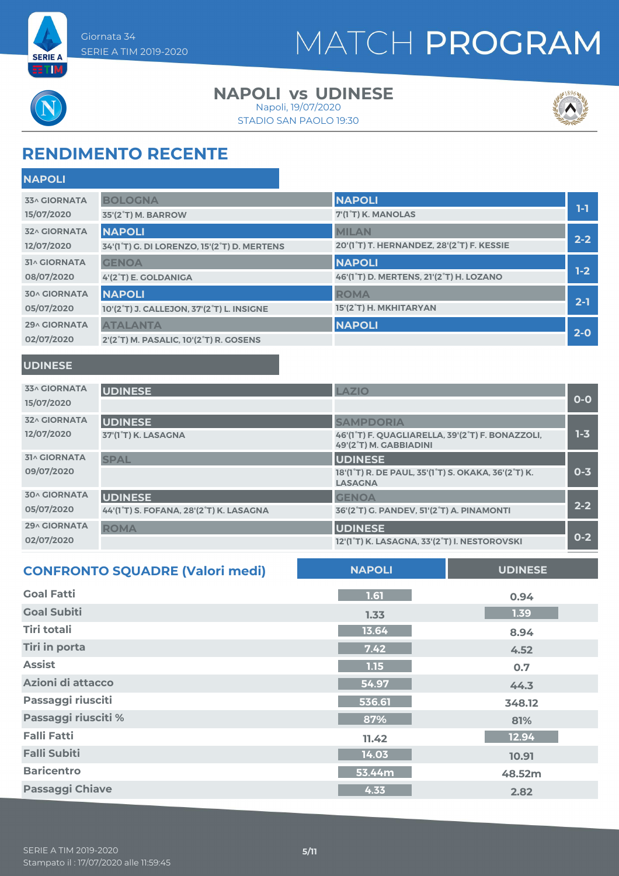

# MATCH PROGRAM



**ETM** 

**NAPOLI**

#### **NAPOLI vs UDINESE**

STADIO SAN PAOLO 19:30 Napoli, 19/07/2020



## **RENDIMENTO RECENTE**

| <b>NAPULI</b>       |                                             |                                           |         |
|---------------------|---------------------------------------------|-------------------------------------------|---------|
| <b>33^ GIORNATA</b> | <b>BOLOGNA</b>                              | <b>NAPOLI</b>                             |         |
| 15/07/2020          | 35'(2°T) M. BARROW                          | 7'(1°T) K. MANOLAS                        | 1-1     |
| <b>32^ GIORNATA</b> | <b>NAPOLI</b>                               | <b>MILAN</b>                              |         |
| 12/07/2020          | 34'(1°T) G. DI LORENZO, 15'(2°T) D. MERTENS | 20'(1°T) T. HERNANDEZ, 28'(2°T) F. KESSIE | $2 - 2$ |
| <b>31^ GIORNATA</b> | <b>GENOA</b>                                | <b>NAPOLI</b>                             |         |
| 08/07/2020          | 4'(2°T) E. GOLDANIGA                        | 46'(1°T) D. MERTENS, 21'(2°T) H. LOZANO   | $1-2$   |
| <b>30^ GIORNATA</b> | <b>NAPOLI</b>                               | <b>ROMA</b>                               |         |
| 05/07/2020          | 10'(2°T) J. CALLEJON, 37'(2°T) L. INSIGNE   | 15'(2°T) H. MKHITARYAN                    | $2 - 1$ |
| <b>29^ GIORNATA</b> | <b>ATALANTA</b>                             | <b>NAPOLI</b>                             |         |
| 02/07/2020          | 2'(2°T) M. PASALIC, 10'(2°T) R. GOSENS      |                                           | $2 - 0$ |
|                     |                                             |                                           |         |

#### **UDINESE**

| <b>33^ GIORNATA</b><br>15/07/2020 | <b>UDINESE</b>                          | LAZIO                                                                      | $O-O$   |
|-----------------------------------|-----------------------------------------|----------------------------------------------------------------------------|---------|
| <b>32^ GIORNATA</b>               | <b>UDINESE</b>                          | <b>SAMPDORIA</b>                                                           |         |
| 12/07/2020                        | 37'(1°T) K. LASAGNA                     | 46'(1°T) F. QUAGLIARELLA, 39'(2°T) F. BONAZZOLI,<br>49'(2°T) M. GABBIADINI | $1 - 3$ |
| <b>31^ GIORNATA</b>               | <b>SPAL</b>                             | <b>UDINESE</b>                                                             |         |
| 09/07/2020                        |                                         | 18'(1°T) R. DE PAUL, 35'(1°T) S. OKAKA, 36'(2°T) K.<br><b>LASAGNA</b>      | $0 - 3$ |
| <b>30^ GIORNATA</b>               | <b>UDINESE</b>                          | <b>GENOA</b>                                                               |         |
| 05/07/2020                        | 44'(1°T) S. FOFANA, 28'(2°T) K. LASAGNA | 36'(2°T) G. PANDEV, 51'(2°T) A. PINAMONTI                                  | $2 - 2$ |
| <b>29^ GIORNATA</b>               | <b>ROMA</b>                             | <b>UDINESE</b>                                                             |         |
| 02/07/2020                        |                                         | 12'(1°T) K. LASAGNA, 33'(2°T) I. NESTOROVSKI                               | $0 - 2$ |

| <b>CONFRONTO SQUADRE (Valori medi)</b> | <b>NAPOLI</b> | <b>UDINESE</b> |
|----------------------------------------|---------------|----------------|
| <b>Goal Fatti</b>                      | 1.61          | 0.94           |
| <b>Goal Subiti</b>                     | 1.33          | 1.39           |
| <b>Tiri totali</b>                     | 13.64         | 8.94           |
| <b>Tiri in porta</b>                   | 7.42          | 4.52           |
| <b>Assist</b>                          | 1.15          | 0.7            |
| Azioni di attacco                      | 54.97         | 44.3           |
| Passaggi riusciti                      | 536.61        | 348.12         |
| Passaggi riusciti %                    | 87%           | 81%            |
| <b>Falli Fatti</b>                     | 11.42         | 12.94          |
| <b>Falli Subiti</b>                    | 14.03         | 10.91          |
| <b>Baricentro</b>                      | 53.44m        | 48.52m         |
| <b>Passaggi Chiave</b>                 | 4.33          | 2.82           |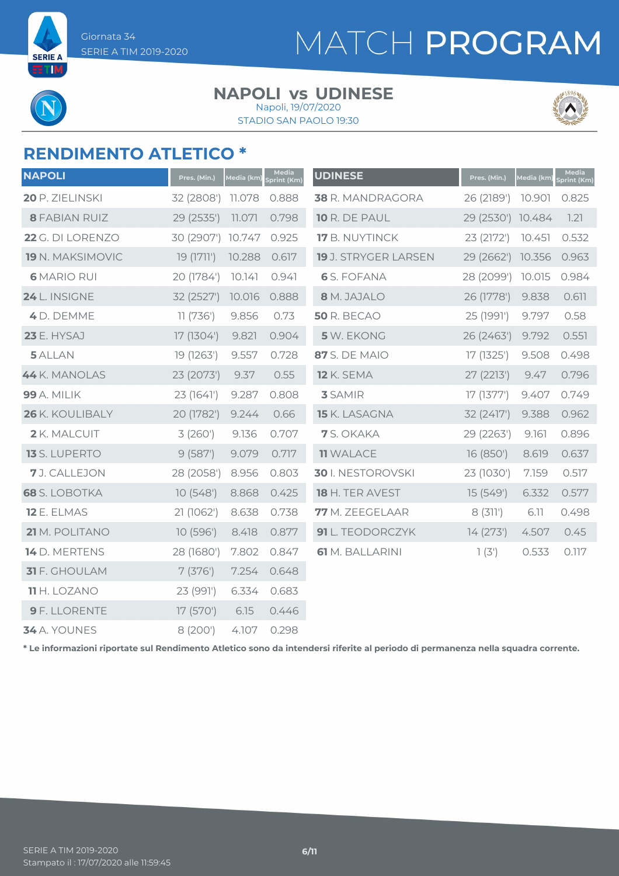**SERIE A** ETIM

# MATCH PROGRAM

#### **NAPOLI vs UDINESE** Napoli, 19/07/2020

STADIO SAN PAOLO 19:30



## **RENDIMENTO ATLETICO \***

| <b>NAPOLI</b>        | Pres. (Min.)      | Media (km) | Media<br>Sprint (Km) | <b>UDINESE</b>         | Pres. (Min.)      | Media (km) | Media<br>Sprint (Km) |
|----------------------|-------------------|------------|----------------------|------------------------|-------------------|------------|----------------------|
| 20 P. ZIELINSKI      | 32 (2808') 11.078 |            | 0.888                | 38 R. MANDRAGORA       | 26 (2189')        | 10.901     | 0.825                |
| <b>8 FABIAN RUIZ</b> | 29 (2535')        | 11.071     | 0.798                | 10 R. DE PAUL          | 29 (2530') 10.484 |            | 1.21                 |
| 22 G. DI LORENZO     | 30 (2907') 10.747 |            | 0.925                | 17 B. NUYTINCK         | 23 (2172')        | 10.451     | 0.532                |
| 19 N. MAKSIMOVIC     | 19 (1711')        | 10.288     | 0.617                | 19 J. STRYGER LARSEN   | 29 (2662')        | 10.356     | 0.963                |
| <b>6 MARIO RUI</b>   | 20 (1784')        | 10.141     | 0.941                | <b>6</b> S. FOFANA     | 28 (2099')        | 10.015     | 0.984                |
| 24 L. INSIGNE        | 32 (2527')        | 10.016     | 0.888                | 8 M. JAJALO            | 26 (1778')        | 9.838      | 0.611                |
| 4 D. DEMME           | 11 (736')         | 9.856      | 0.73                 | <b>50 R. BECAO</b>     | 25 (1991')        | 9.797      | 0.58                 |
| <b>23 E. HYSAJ</b>   | 17 (1304')        | 9.821      | 0.904                | 5 W. EKONG             | 26 (2463')        | 9.792      | 0.551                |
| 5 ALLAN              | 19 (1263')        | 9.557      | 0.728                | <b>87</b> S. DE MAIO   | 17 (1325')        | 9.508      | 0.498                |
| 44 K. MANOLAS        | 23 (2073')        | 9.37       | 0.55                 | <b>12 K. SEMA</b>      | 27 (2213')        | 9.47       | 0.796                |
| <b>99</b> A. MILIK   | 23 (1641')        | 9.287      | 0.808                | <b>3</b> SAMIR         | 17(1377)          | 9.407      | 0.749                |
| 26 K. KOULIBALY      | 20 (1782')        | 9.244      | 0.66                 | 15 K. LASAGNA          | 32 (2417')        | 9.388      | 0.962                |
| 2 K. MALCUIT         | 3(260')           | 9.136      | 0.707                | 7 S. OKAKA             | 29 (2263')        | 9.161      | 0.896                |
| 13 S. LUPERTO        | 9(587)            | 9.079      | 0.717                | <b>11 WALACE</b>       | 16 (850')         | 8.619      | 0.637                |
| 7 J. CALLEJON        | 28 (2058')        | 8.956      | 0.803                | 30 I. NESTOROVSKI      | 23 (1030')        | 7.159      | 0.517                |
| <b>68</b> S. LOBOTKA | 10(548)           | 8.868      | 0.425                | 18 H. TER AVEST        | 15 (549')         | 6.332      | 0.577                |
| 12 E. ELMAS          | 21 (1062')        | 8.638      | 0.738                | 77 M. ZEEGELAAR        | 8(311')           | 6.11       | 0.498                |
| 21 M. POLITANO       | 10 (596')         | 8.418      | 0.877                | 91 L. TEODORCZYK       | 14(273)           | 4.507      | 0.45                 |
| 14 D. MERTENS        | 28 (1680')        | 7.802      | 0.847                | <b>61</b> M. BALLARINI | 1(3')             | 0.533      | 0.117                |
| 31 F. GHOULAM        | 7(376)            | 7.254      | 0.648                |                        |                   |            |                      |
| <b>11</b> H. LOZANO  | 23 (991')         | 6.334      | 0.683                |                        |                   |            |                      |
| <b>9</b> F. LLORENTE | 17 (570')         | 6.15       | 0.446                |                        |                   |            |                      |
| 34 A. YOUNES         | 8 (200')          | 4.107      | 0.298                |                        |                   |            |                      |

**\* Le informazioni riportate sul Rendimento Atletico sono da intendersi riferite al periodo di permanenza nella squadra corrente.**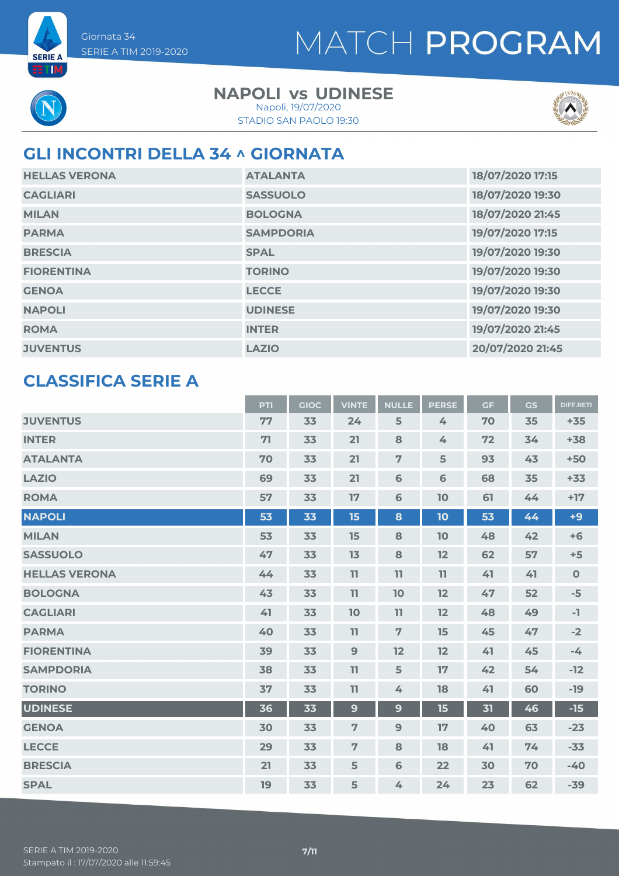# MATCH PROGRAM



**SERIE A ETIM** 

#### **NAPOLI vs UDINESE** Napoli, 19/07/2020

STADIO SAN PAOLO 19:30



### **GLI INCONTRI DELLA 34 ^ GIORNATA**

| <b>HELLAS VERONA</b> | <b>ATALANTA</b>  | 18/07/2020 17:15 |
|----------------------|------------------|------------------|
| <b>CAGLIARI</b>      | <b>SASSUOLO</b>  | 18/07/2020 19:30 |
| <b>MILAN</b>         | <b>BOLOGNA</b>   | 18/07/2020 21:45 |
| <b>PARMA</b>         | <b>SAMPDORIA</b> | 19/07/2020 17:15 |
| <b>BRESCIA</b>       | <b>SPAL</b>      | 19/07/2020 19:30 |
| <b>FIORENTINA</b>    | <b>TORINO</b>    | 19/07/2020 19:30 |
| <b>GENOA</b>         | <b>LECCE</b>     | 19/07/2020 19:30 |
| <b>NAPOLI</b>        | <b>UDINESE</b>   | 19/07/2020 19:30 |
| <b>ROMA</b>          | <b>INTER</b>     | 19/07/2020 21:45 |
| <b>JUVENTUS</b>      | <b>LAZIO</b>     | 20/07/2020 21:45 |

### **CLASSIFICA SERIE A**

|                      | PTI | <b>GIOC</b> | <b>VINTE</b>   | <b>NULLE</b>   | <b>PERSE</b>  | <b>GF</b> | <b>GS</b> | <b>DIFF.RETI</b> |
|----------------------|-----|-------------|----------------|----------------|---------------|-----------|-----------|------------------|
| <b>JUVENTUS</b>      | 77  | 33          | 24             | 5              | $\frac{1}{2}$ | 70        | 35        | $+35$            |
| <b>INTER</b>         | 71  | 33          | 21             | 8              | 4             | 72        | 34        | $+38$            |
| <b>ATALANTA</b>      | 70  | 33          | 21             | $\overline{7}$ | 5             | 93        | 43        | $+50$            |
| <b>LAZIO</b>         | 69  | 33          | 21             | $6\phantom{1}$ | 6             | 68        | 35        | $+33$            |
| <b>ROMA</b>          | 57  | 33          | 17             | 6              | 10            | 61        | 44        | $+17$            |
| <b>NAPOLI</b>        | 53  | 33          | 15             | 8              | 10            | 53        | 44        | $+9$             |
| <b>MILAN</b>         | 53  | 33          | 15             | 8              | 10            | 48        | 42        | $+6$             |
| <b>SASSUOLO</b>      | 47  | 33          | 13             | 8              | 12            | 62        | 57        | $+5$             |
| <b>HELLAS VERONA</b> | 44  | 33          | 11             | 11             | 11            | 41        | 41        | $\mathbf 0$      |
| <b>BOLOGNA</b>       | 43  | 33          | 11             | 10             | 12            | 47        | 52        | $-5$             |
| <b>CAGLIARI</b>      | 41  | 33          | 10             | 11             | 12            | 48        | 49        | $-1$             |
| <b>PARMA</b>         | 40  | 33          | 11             | $\overline{7}$ | 15            | 45        | 47        | $-2$             |
| <b>FIORENTINA</b>    | 39  | 33          | $\overline{9}$ | 12             | 12            | 41        | 45        | $-4$             |
| <b>SAMPDORIA</b>     | 38  | 33          | 11             | 5              | 17            | 42        | 54        | $-12$            |
| <b>TORINO</b>        | 37  | 33          | 11             | 4              | 18            | 41        | 60        | $-19$            |
| <b>UDINESE</b>       | 36  | 33          | 9              | 9              | 15            | 31        | 46        | $-15$            |
| <b>GENOA</b>         | 30  | 33          | 7              | 9              | 17            | 40        | 63        | $-23$            |
| <b>LECCE</b>         | 29  | 33          | 7              | 8              | 18            | 41        | 74        | $-33$            |
| <b>BRESCIA</b>       | 21  | 33          | 5              | 6              | 22            | 30        | 70        | $-40$            |
| <b>SPAL</b>          | 19  | 33          | 5              | 4              | 24            | 23        | 62        | $-39$            |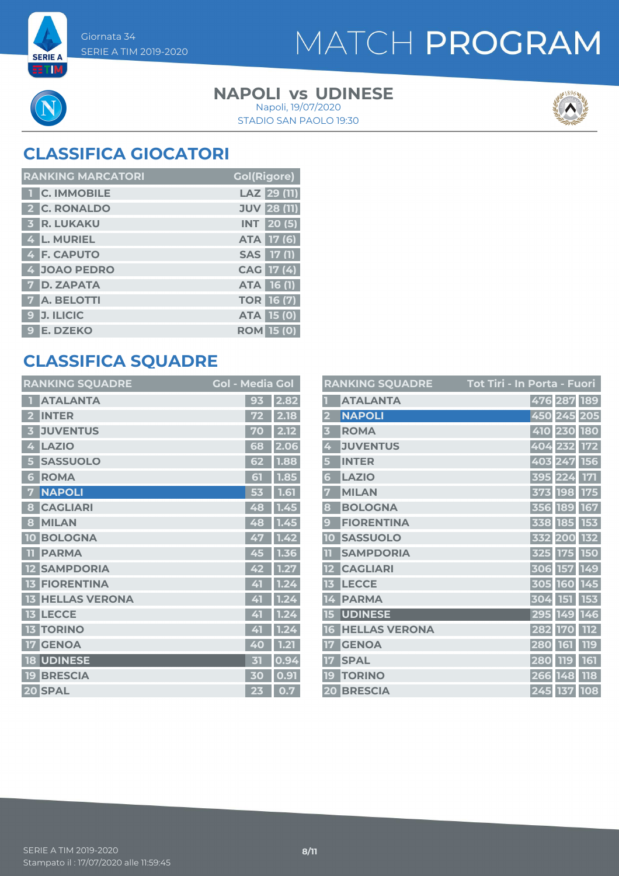# MATCH PROGRAM

**SERIE A ETM** 

#### **NAPOLI vs UDINESE** Napoli, 19/07/2020

STADIO SAN PAOLO 19:30



# **CLASSIFICA GIOCATORI**

| <b>RANKING MARCATORI</b> | <b>Gol(Rigore)</b> |
|--------------------------|--------------------|
| <b>1 C. IMMOBILE</b>     | LAZ 29 (11)        |
| 2 C. RONALDO             | <b>JUV 28 (11)</b> |
| <b>3 R. LUKAKU</b>       | <b>INT</b> 20(5)   |
| 4 L. MURIEL              | ATA 17 (6)         |
| 4 F. CAPUTO              | <b>SAS</b> 17 (1)  |
| 4 JOAO PEDRO             | CAG 17 (4)         |
| 7 D. ZAPATA              | <b>ATA</b> 16 (1)  |
| 7 A. BELOTTI             | <b>TOR 16 (7)</b>  |
| 9 J. ILICIC              | <b>ATA 15 (0)</b>  |
| 9 E. DZEKO               | <b>ROM 15 (0)</b>  |

### **CLASSIFICA SQUADRE**

|    | <b>RANKING SQUADRE</b> | <b>Gol - Media Gol</b> |      |
|----|------------------------|------------------------|------|
|    | <b>ATALANTA</b>        | 93                     | 2.82 |
| 2  | <b>INTER</b>           | 72                     | 2.18 |
| 3  | <b>JUVENTUS</b>        | 70                     | 2.12 |
| 4  | <b>LAZIO</b>           | 68                     | 2.06 |
| 5  | <b>SASSUOLO</b>        | 62                     | 1.88 |
| 6  | <b>ROMA</b>            | 51                     | 1.85 |
| 7  | <b>NAPOLI</b>          | 53                     | 1.61 |
| 8  | <b>CAGLIARI</b>        | 48                     | 1.45 |
| 8  | <b>MILAN</b>           | 48                     | 1.45 |
| 10 | <b>BOLOGNA</b>         | 47                     | 1.42 |
| m  | <b>PARMA</b>           | 45                     | 1.36 |
| 12 | <b>SAMPDORIA</b>       | 42                     | 1.27 |
| 13 | <b>FIORENTINA</b>      | 41                     | 1.24 |
| 13 | <b>HELLAS VERONA</b>   | 41                     | 1.24 |
| 13 | <b>LECCE</b>           | 41                     | 1.24 |
| 13 | <b>TORINO</b>          | 41                     | 1.24 |
| 17 | <b>GENOA</b>           | 40                     | 1.21 |
| 18 | <b>UDINESE</b>         | 丙                      | 0.94 |
| 19 | <b>BRESCIA</b>         | 30                     | 0.91 |
|    | 20 SPAL                | 23                     | 0.7  |

|                         | <b>RANKING SQUADRE</b> | Tot Tiri - In Porta - Fuori |
|-------------------------|------------------------|-----------------------------|
|                         | <b>ATALANTA</b>        | 476 287 189                 |
| $\overline{\mathbf{2}}$ | <b>NAPOLI</b>          | 450 245 205                 |
| $\overline{\mathbf{3}}$ | <b>ROMA</b>            | 410 230 180                 |
| 4                       | <b>JUVENTUS</b>        | 404 232 172                 |
| 5                       | <b>INTER</b>           | 403 247<br>156              |
| 6                       | <b>LAZIO</b>           | 171<br>395 224              |
| 7                       | <b>MILAN</b>           | 373 198<br><b>175</b>       |
| 8                       | <b>BOLOGNA</b>         | 356 189 167                 |
| 9                       | <b>FIORENTINA</b>      | 338 185 153                 |
| 10                      | <b>SASSUOLO</b>        | 332 200<br>132              |
| $\mathbf{1}$            | <b>SAMPDORIA</b>       | 325 175<br><b>150</b>       |
|                         | <b>CAGLIARI</b>        | 306 157 149                 |
| 13                      | <b>LECCE</b>           | 305 160 145                 |
| 14                      | <b>PARMA</b>           | 304 151 153                 |
| 15                      | <b>UDINESE</b>         | 295 149 146                 |
| 16                      | <b>HELLAS VERONA</b>   | <b>112</b><br>282 170       |
|                         | <b>GENOA</b>           | 119<br>280 161              |
| 17                      | <b>SPAL</b>            | 161<br>280 119              |
| 19 <sub>1</sub>         | <b>TORINO</b>          | 118<br>266 148              |
|                         | 20 BRESCIA             | 245 137 108                 |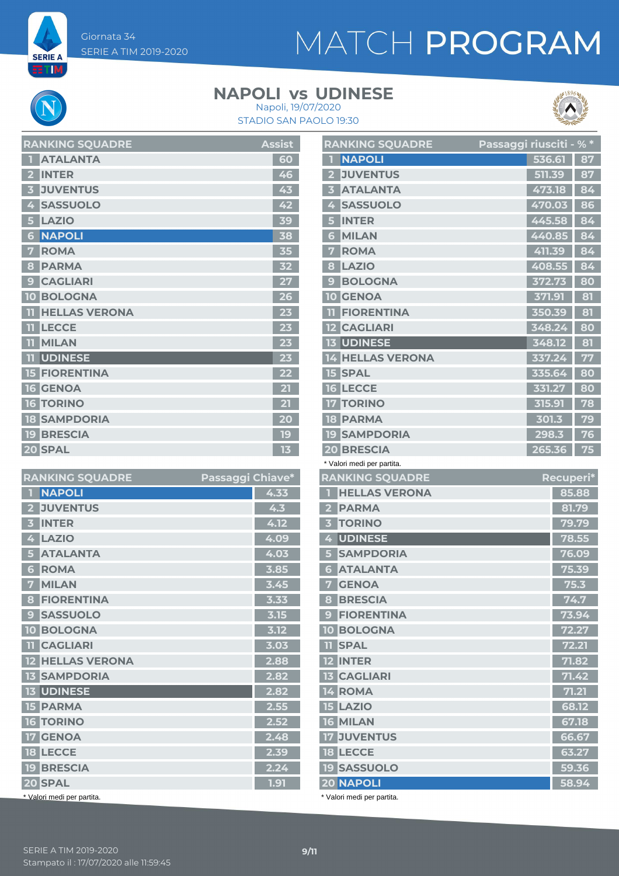**SERIE A** ET M

# MATCH PROGRAM

### **NAPOLI vs UDINESE**





| <b>RANKING SQUADRE</b>          | <b>Assist</b> |
|---------------------------------|---------------|
| <b>ATALANTA</b>                 | 60            |
| <b>INTER</b>                    | 46            |
| <b>JUVENTUS</b><br>3            | 43            |
| <b>SASSUOLO</b><br>4            | 42            |
| <b>LAZIO</b><br>5               | 39            |
| <b>NAPOLI</b><br>6              | 38            |
| <b>ROMA</b>                     | 35            |
| <b>PARMA</b><br>8               | 32            |
| <b>CAGLIARI</b><br>$\mathbf{C}$ | 27            |
| <b>BOLOGNA</b><br>Ο             | 26            |
| <b>HELLAS VERONA</b>            |               |
| <b>LECCE</b><br>Πī              | 23            |
| <b>MILAN</b><br>11              | 23            |
| <b>UDINESE</b><br>11            | 23            |
| <b>15 FIORENTINA</b>            | 22            |
| <b>16 GENOA</b>                 | 21            |
| <b>16 TORINO</b>                | 21            |
| <b>18 SAMPDORIA</b>             | 20            |
| <b>19 BRESCIA</b>               | 19            |
| 20 SPAL                         | 13            |

| <b>RANKING SQUADRE</b>            | Passaggi Chiave* |      |
|-----------------------------------|------------------|------|
| <b>NAPOLI</b><br>п                |                  | 4.33 |
| <b>JUVENTUS</b><br>$\overline{2}$ |                  | 4.3  |
| <b>INTER</b><br>3                 |                  | 4.12 |
| <b>LAZIO</b><br>4                 |                  | 4.09 |
| <b>ATALANTA</b><br>5              |                  | 4.03 |
| <b>ROMA</b><br>6                  |                  | 3.85 |
| <b>MILAN</b><br>7                 |                  | 3.45 |
| <b>FIORENTINA</b><br>8            |                  | 3.33 |
| <b>SASSUOLO</b><br>9              |                  | 3.15 |
| <b>BOLOGNA</b><br><b>10</b>       |                  | 3.12 |
| <b>TI CAGLIARI</b>                |                  | 3.03 |
| <b>12 HELLAS VERONA</b>           |                  | 2.88 |
| <b>13 SAMPDORIA</b>               |                  | 2.82 |
| <b>13 UDINESE</b>                 |                  | 2.82 |
| <b>15 PARMA</b>                   |                  | 2.55 |
| <b>16 TORINO</b>                  |                  | 2.52 |
| <b>17 GENOA</b>                   |                  | 2.48 |
| <b>18 LECCE</b>                   |                  | 2.39 |
| <b>19 BRESCIA</b>                 |                  | 2.24 |
| 20 SPAL                           |                  | 1.91 |
| * Valori medi per partita.        |                  |      |

| <b>RANKING SQUADRE</b>              | Passaggi riusciti - % * |                |
|-------------------------------------|-------------------------|----------------|
| <b>NAPOLI</b><br>П                  | 536.61                  | 87             |
| <b>JUVENTUS</b><br>$\mathbf{2}$     | 511.39                  | 87             |
| <b>ATALANTA</b><br>$\mathbf{z}$     | 473.18                  | 84             |
| <b>SASSUOLO</b><br>4                | 470.03                  | 86             |
| <b>INTER</b><br>5                   | 445.58                  | 84             |
| <b>MILAN</b><br>6                   | 440.85                  | 84             |
| <b>ROMA</b><br>7                    | 411.39                  | 84             |
| <b>LAZIO</b><br>8                   | 408.55                  | 84             |
| <b>BOLOGNA</b><br>9                 | 372.73                  | 80             |
| <b>10 GENOA</b>                     | 371.91                  | 81             |
| <b>FIORENTINA</b><br>m              | 350.39                  | 81             |
| <b>12 CAGLIARI</b>                  | 348.24                  | 80             |
| <b>13 UDINESE</b>                   | 348.12                  | 81             |
| <b>14 HELLAS VERONA</b>             | 337.24                  | 77             |
| <b>15 SPAL</b>                      | 335.64                  | 80             |
| <b>16 LECCE</b>                     | 331.27                  | 80             |
| <b>17 TORINO</b>                    | 315.91                  | 78             |
| <b>18 PARMA</b>                     | 301.3                   | 79             |
| <b>19 SAMPDORIA</b>                 | 298.3                   | 76             |
| <b>20 BRESCIA</b>                   | 265.36                  | 75             |
| * Valori medi per partita.          |                         |                |
| <b>RANKING SQUADRE</b>              |                         | Recuperi*      |
| <b>HELLAS VERONA</b><br>П           |                         | 85.88          |
| <b>PARMA</b><br>2 <sup>1</sup>      |                         | 81.79          |
| <b>TORINO</b><br>3 <sup>1</sup>     |                         | 79.79          |
| <b>UDINESE</b><br>4                 |                         | 78.55          |
| <b>SAMPDORIA</b><br>5 <sup>1</sup>  |                         | 76.09          |
| <b>ATALANTA</b><br>6                |                         | 75.39          |
| 7 <sup>1</sup><br><b>GENOA</b>      |                         | 75.3           |
| <b>8 BRESCIA</b>                    |                         | 74.7           |
| 9 FIORENTINA                        |                         | 73.94          |
| <b>10 BOLOGNA</b><br><b>11 SPAL</b> |                         | 72.27<br>72.21 |
| <b>12 INTER</b>                     |                         | 71.82          |
| <b>13 CAGLIARI</b>                  |                         | 71.42          |
| 14 ROMA                             |                         | 71.21          |
| <b>15 LAZIO</b>                     |                         | 68.12          |
| <b>16 MILAN</b>                     |                         | 67.18          |
| <b>17 JUVENTUS</b>                  |                         |                |
| <b>18 LECCE</b>                     |                         | 66.67          |
| <b>19 SASSUOLO</b>                  |                         | 63.27<br>59.36 |
| <b>20 NAPOLI</b>                    |                         | 58.94          |
|                                     |                         |                |

\* Valori medi per partita.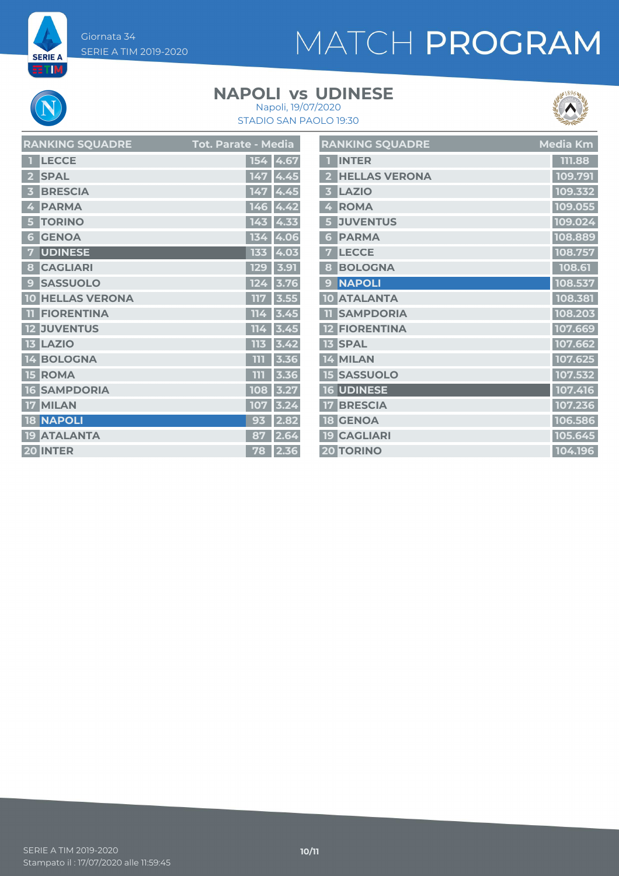# MATCH PROGRAM

### **NAPOLI vs UDINESE**



**SERIE A** 

STADIO SAN PAOLO 19:30 Napoli, 19/07/2020



| <b>RANKING SQUADRE</b>          | Tot. Parate - M <u>edia</u> |            | <b>RAN</b>          |
|---------------------------------|-----------------------------|------------|---------------------|
| <b>LECCE</b>                    |                             | 154 4.67   | I                   |
| <b>SPAL</b>                     |                             | 147 4.45   | 2 <sup>1</sup><br>I |
| <b>BRESCIA</b>                  |                             | 147 4.45   | Ι<br>3 <sup>7</sup> |
| <b>PARMA</b><br>4               | 146                         | 14.42      | 4<br>I              |
| <b>TORINO</b>                   |                             | $143$ 4.33 | $\overline{5}$<br>E |
| <b>GENOA</b><br>6               | 134                         | 4.06       | I<br>6              |
| <b>UDINESE</b><br>7             |                             | 133 4.03   | 7<br>Ι              |
| <b>CAGLIARI</b><br>8            | 129                         | 3.91       | 8<br>Ŀ              |
| <b>SASSUOLO</b><br>$\mathbf{9}$ | 124                         | 3.76       | D<br>9              |
| <b>HELLAS VERONA</b><br>10      | 117                         | 3.55       | 10 <sub>l</sub>     |
| <b>FIORENTINA</b><br>11         | 114                         | 3.45       | $\mathbf n$ !       |
| <b>12 JUVENTUS</b>              | 114                         | 3.45       | $12$ $\Box$         |
| <b>13 LAZIO</b>                 | 113                         | 3.42       | 13 <sup>5</sup>     |
| 14 BOLOGNA                      | ווו                         | 3.36       | 14                  |
| <b>ROMA</b><br>15               | THT                         | 3.36       | 15 <sub>5</sub>     |
| <b>16 SAMPDORIA</b>             | 108                         | 3.27       | 16 <sub>l</sub>     |
| 17 MILAN                        | 107                         | 3.24       | 17 <sup>°</sup>     |
| <b>18 NAPOLI</b>                | 93                          | 2.82       | <b>18</b>           |
| <b>ATALANTA</b><br>19           | 87                          | 2.64       | <b>19 K</b>         |
| 20 INTER                        | 78                          | 2.36       | 20 <b>1</b>         |
|                                 |                             |            |                     |

|                         | RANKING SQUADRE      | Media Km |
|-------------------------|----------------------|----------|
| п                       | <b>INTER</b>         | 111.88   |
| $\overline{2}$          | <b>HELLAS VERONA</b> | 109.791  |
| $\overline{\mathbf{3}}$ | <b>LAZIO</b>         | 109.332  |
| 4                       | <b>ROMA</b>          | 109.055  |
| 5                       | <b>JUVENTUS</b>      | 109.024  |
| 6                       | <b>PARMA</b>         | 108.889  |
| 7                       | <b>LECCE</b>         | 108.757  |
| 8                       | <b>BOLOGNA</b>       | 108.61   |
| 9                       | <b>NAPOLI</b>        | 108.537  |
|                         | <b>10 ATALANTA</b>   | 108.381  |
| 11                      | <b>SAMPDORIA</b>     | 108.203  |
|                         | <b>12 FIORENTINA</b> | 107.669  |
|                         | <b>13 SPAL</b>       | 107.662  |
|                         | 14 MILAN             | 107.625  |
|                         | <b>15 SASSUOLO</b>   | 107.532  |
|                         | <b>16 UDINESE</b>    | 107.416  |
|                         | <b>17 BRESCIA</b>    | 107.236  |
|                         | <b>18 GENOA</b>      | 106.586  |
|                         | <b>19 CAGLIARI</b>   | 105.645  |
|                         | <b>20 TORINO</b>     | 104.196  |